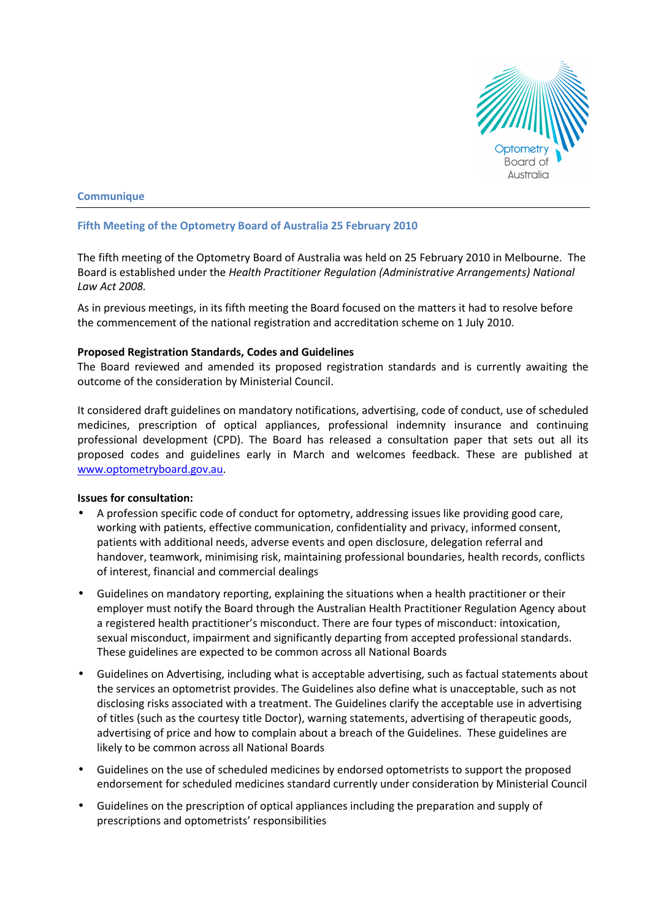

# **Communique**

# Fifth Meeting of the Optometry Board of Australia 25 February 2010

The fifth meeting of the Optometry Board of Australia was held on 25 February 2010 in Melbourne. The Board is established under the Health Practitioner Regulation (Administrative Arrangements) National Law Act 2008.

As in previous meetings, in its fifth meeting the Board focused on the matters it had to resolve before the commencement of the national registration and accreditation scheme on 1 July 2010.

# Proposed Registration Standards, Codes and Guidelines

The Board reviewed and amended its proposed registration standards and is currently awaiting the outcome of the consideration by Ministerial Council.

It considered draft guidelines on mandatory notifications, advertising, code of conduct, use of scheduled medicines, prescription of optical appliances, professional indemnity insurance and continuing professional development (CPD). The Board has released a consultation paper that sets out all its proposed codes and guidelines early in March and welcomes feedback. These are published at www.optometryboard.gov.au.

# Issues for consultation:

- A profession specific code of conduct for optometry, addressing issues like providing good care, working with patients, effective communication, confidentiality and privacy, informed consent, patients with additional needs, adverse events and open disclosure, delegation referral and handover, teamwork, minimising risk, maintaining professional boundaries, health records, conflicts of interest, financial and commercial dealings
- Guidelines on mandatory reporting, explaining the situations when a health practitioner or their employer must notify the Board through the Australian Health Practitioner Regulation Agency about a registered health practitioner's misconduct. There are four types of misconduct: intoxication, sexual misconduct, impairment and significantly departing from accepted professional standards. These guidelines are expected to be common across all National Boards
- Guidelines on Advertising, including what is acceptable advertising, such as factual statements about the services an optometrist provides. The Guidelines also define what is unacceptable, such as not disclosing risks associated with a treatment. The Guidelines clarify the acceptable use in advertising of titles (such as the courtesy title Doctor), warning statements, advertising of therapeutic goods, advertising of price and how to complain about a breach of the Guidelines. These guidelines are likely to be common across all National Boards
- Guidelines on the use of scheduled medicines by endorsed optometrists to support the proposed endorsement for scheduled medicines standard currently under consideration by Ministerial Council
- Guidelines on the prescription of optical appliances including the preparation and supply of prescriptions and optometrists' responsibilities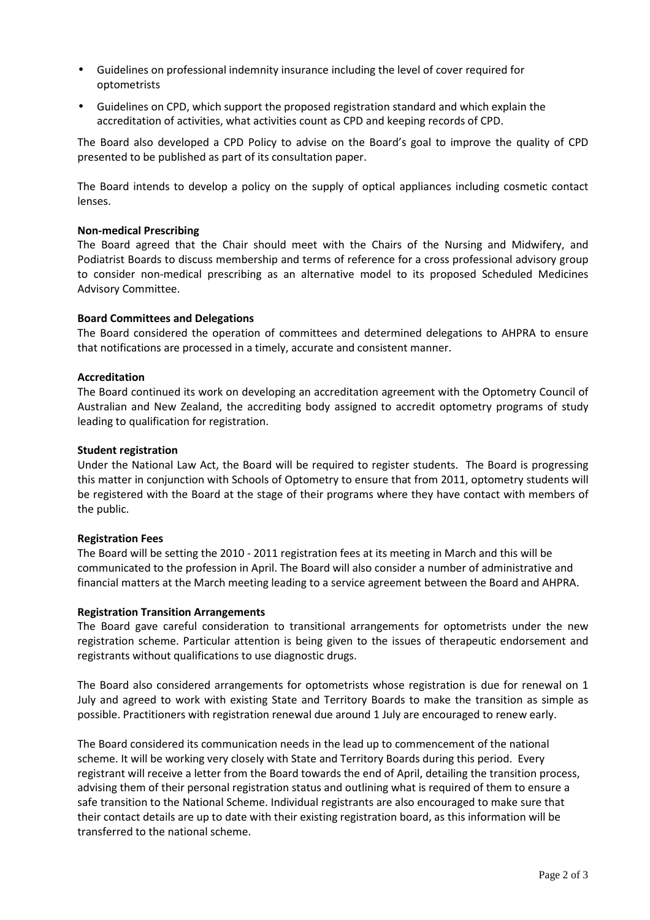- Guidelines on professional indemnity insurance including the level of cover required for optometrists
- Guidelines on CPD, which support the proposed registration standard and which explain the accreditation of activities, what activities count as CPD and keeping records of CPD.

The Board also developed a CPD Policy to advise on the Board's goal to improve the quality of CPD presented to be published as part of its consultation paper.

The Board intends to develop a policy on the supply of optical appliances including cosmetic contact lenses.

# Non-medical Prescribing

The Board agreed that the Chair should meet with the Chairs of the Nursing and Midwifery, and Podiatrist Boards to discuss membership and terms of reference for a cross professional advisory group to consider non-medical prescribing as an alternative model to its proposed Scheduled Medicines Advisory Committee.

### Board Committees and Delegations

The Board considered the operation of committees and determined delegations to AHPRA to ensure that notifications are processed in a timely, accurate and consistent manner.

### Accreditation

The Board continued its work on developing an accreditation agreement with the Optometry Council of Australian and New Zealand, the accrediting body assigned to accredit optometry programs of study leading to qualification for registration.

### Student registration

Under the National Law Act, the Board will be required to register students. The Board is progressing this matter in conjunction with Schools of Optometry to ensure that from 2011, optometry students will be registered with the Board at the stage of their programs where they have contact with members of the public.

### Registration Fees

The Board will be setting the 2010 - 2011 registration fees at its meeting in March and this will be communicated to the profession in April. The Board will also consider a number of administrative and financial matters at the March meeting leading to a service agreement between the Board and AHPRA.

### Registration Transition Arrangements

The Board gave careful consideration to transitional arrangements for optometrists under the new registration scheme. Particular attention is being given to the issues of therapeutic endorsement and registrants without qualifications to use diagnostic drugs.

The Board also considered arrangements for optometrists whose registration is due for renewal on 1 July and agreed to work with existing State and Territory Boards to make the transition as simple as possible. Practitioners with registration renewal due around 1 July are encouraged to renew early.

The Board considered its communication needs in the lead up to commencement of the national scheme. It will be working very closely with State and Territory Boards during this period. Every registrant will receive a letter from the Board towards the end of April, detailing the transition process, advising them of their personal registration status and outlining what is required of them to ensure a safe transition to the National Scheme. Individual registrants are also encouraged to make sure that their contact details are up to date with their existing registration board, as this information will be transferred to the national scheme.